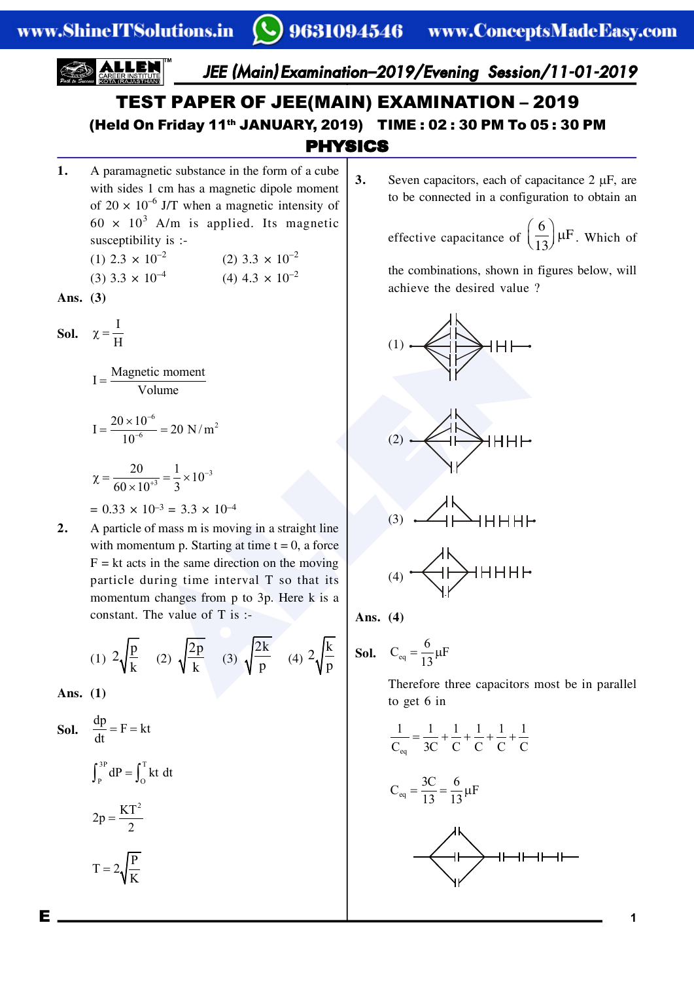*JEE (Main) Examination–2019/Evening Session/11-01-2019*

## PHYSICS TEST PAPER OF JEE(MAIN) EXAMINATION – 2019 (Held On Friday 11th JANUARY, 2019) TIME : 02 : 30 PM To 05 : 30 PM

**1.** A paramagnetic substance in the form of a cube with sides 1 cm has a magnetic dipole moment of  $20 \times 10^{-6}$  J/T when a magnetic intensity of  $60 \times 10^3$  A/m is applied. Its magnetic susceptibility is :-

| (1) 2.3 $\times$ 10 <sup>-2</sup>   | (2) 3.3 $\times$ 10 <sup>-2</sup> |
|-------------------------------------|-----------------------------------|
| $(3)$ 3.3 $\times$ 10 <sup>-4</sup> | (4) 4.3 $\times$ 10 <sup>-2</sup> |

Ans. 
$$
(3)
$$

**Sol.**  $\chi = \frac{I}{H}$ 

 $I = \frac{\text{Magnetic moment}}{\text{Volume}}$ 

$$
I = \frac{20 \times 10^{-6}}{10^{-6}} = 20 \text{ N/m}^2
$$

$$
\chi = \frac{20}{60 \times 10^{+3}} = \frac{1}{3} \times 10^{-3}
$$

$$
= 0.33 \times 10^{-3} = 3.3 \times 10^{-4}
$$

etic moment<br>
Volume<br>
Volume<br>  $\frac{0^{-6}}{6} = 20 \text{ N/m}^2$ <br>  $\frac{0^{-4}}{10^{-3}} = \frac{1}{3} \times 10^{-3}$ <br>  $10^{-3} = 3.3 \times 10^{-4}$ <br>  $10^{-3} = 3.3 \times 10^{-4}$ <br>  $10^{-3} = 3.3 \times 10^{-4}$ <br>  $10^{-3} = 3.3 \times 10^{-4}$ <br>
So f mass m is moving in a straight line<br>
ant **2.** A particle of mass m is moving in a straight line with momentum p. Starting at time  $t = 0$ , a force  $F = kt$  acts in the same direction on the moving particle during time interval T so that its momentum changes from p to 3p. Here k is a constant. The value of T is :-

(1) 
$$
2\sqrt{\frac{p}{k}}
$$
 (2)  $\sqrt{\frac{2p}{k}}$  (3)  $\sqrt{\frac{2k}{p}}$  (4)  $2\sqrt{\frac{k}{p}}$ 

**Ans. (1)**

**Sol.** 
$$
\frac{dp}{dt} = F = kt
$$

$$
\int_{P}^{3P} dP = \int_{0}^{T} kt \ dt
$$

$$
2p = \frac{KT^{2}}{2}
$$

$$
T = 2\sqrt{\frac{P}{K}}
$$

**3.** Seven capacitors, each of capacitance  $2 \mu F$ , are to be connected in a configuration to obtain an

effective capacitance of 
$$
\left(\frac{6}{13}\right)
$$
  $\mu$ F. Which of

the combinations, shown in figures below, will achieve the desired value ?





$$
(3) \quad \overbrace{\qquad} \qquad \qquad \uparrow \qquad \qquad \downarrow
$$

$$
_{(4)}\xleftarrow{\text{H}}\xrightarrow{\text{H}}\xrightarrow{\text{H}}\xrightarrow{\text{H}}\xrightarrow{\text{H}}\xrightarrow{\text{H}}\xrightarrow{\text{H}}\xrightarrow{\text{H}}\xrightarrow{\text{H}}\xrightarrow{\text{H}}\xrightarrow{\text{H}}\xrightarrow{\text{H}}\xrightarrow{\text{H}}\xrightarrow{\text{H}}\xrightarrow{\text{H}}\xrightarrow{\text{H}}\xrightarrow{\text{H}}\xrightarrow{\text{H}}\xrightarrow{\text{H}}\xrightarrow{\text{H}}\xrightarrow{\text{H}}\xrightarrow{\text{H}}\xrightarrow{\text{H}}\xrightarrow{\text{H}}\xrightarrow{\text{H}}\xrightarrow{\text{H}}\xrightarrow{\text{H}}\xrightarrow{\text{H}}\xrightarrow{\text{H}}\xrightarrow{\text{H}}\xrightarrow{\text{H}}\xrightarrow{\text{H}}\xrightarrow{\text{H}}\xrightarrow{\text{H}}\xrightarrow{\text{H}}\xrightarrow{\text{H}}\xrightarrow{\text{H}}\xrightarrow{\text{H}}\xrightarrow{\text{H}}\xrightarrow{\text{H}}\xrightarrow{\text{H}}\xrightarrow{\text{H}}\xrightarrow{\text{H}}\xrightarrow{\text{H}}\xrightarrow{\text{H}}\xrightarrow{\text{H}}\xrightarrow{\text{H}}\xrightarrow{\text{H}}\xrightarrow{\text{H}}\xrightarrow{\text{H}}\xrightarrow{\text{H}}\xrightarrow{\text{H}}\xrightarrow{\text{H}}\xrightarrow{\text{H}}\xrightarrow{\text{H}}\xrightarrow{\text{H}}\xrightarrow{\text{H}}\xrightarrow{\text{H}}\xrightarrow{\text{H}}\xrightarrow{\text{H}}\xrightarrow{\text{H}}\xrightarrow{\text{H}}\xrightarrow{\text{H}}\xrightarrow{\text{H}}\xrightarrow{\text{H}}\xrightarrow{\text{H}}\xrightarrow{\text{H}}\xrightarrow{\text{H}}\xrightarrow{\text{H}}\xrightarrow{\text{H}}\xrightarrow{\text{H}}\xrightarrow{\text{H}}\xrightarrow{\text{H}}\xrightarrow{\text{H}}\xrightarrow{\text{H}}\xrightarrow{\text{H}}\xrightarrow{\text{H}}\xrightarrow{\text{H}}\xrightarrow{\text{H}}\xrightarrow{\text{H}}\xrightarrow{\text{H}}\xrightarrow{\text{H}}\xrightarrow{\text{H}}\xrightarrow{\text{H}}\xrightarrow{\text{H}}\xrightarrow{\text{H}}\xrightarrow{\text{H}}\xrightarrow{\text{H}}\xrightarrow{\text{H}}\xrightarrow{\text{H}}\xrightarrow{\text{H}}\xrightarrow{\text{H}}\xrightarrow{\text{H}}\xrightarrow{\text{H}}\x
$$

**Ans. (4)**

$$
extbf{Sol.} \quad C_{eq} = \frac{6}{13} \mu \text{F}
$$

Therefore three capacitors most be in parallel to get 6 in

$$
\frac{1}{C_{eq}} = \frac{1}{3C} + \frac{1}{C} + \frac{1}{C} + \frac{1}{C} + \frac{1}{C}
$$

$$
C_{\text{eq}} = \frac{3C}{13} = \frac{6}{13} \mu F
$$

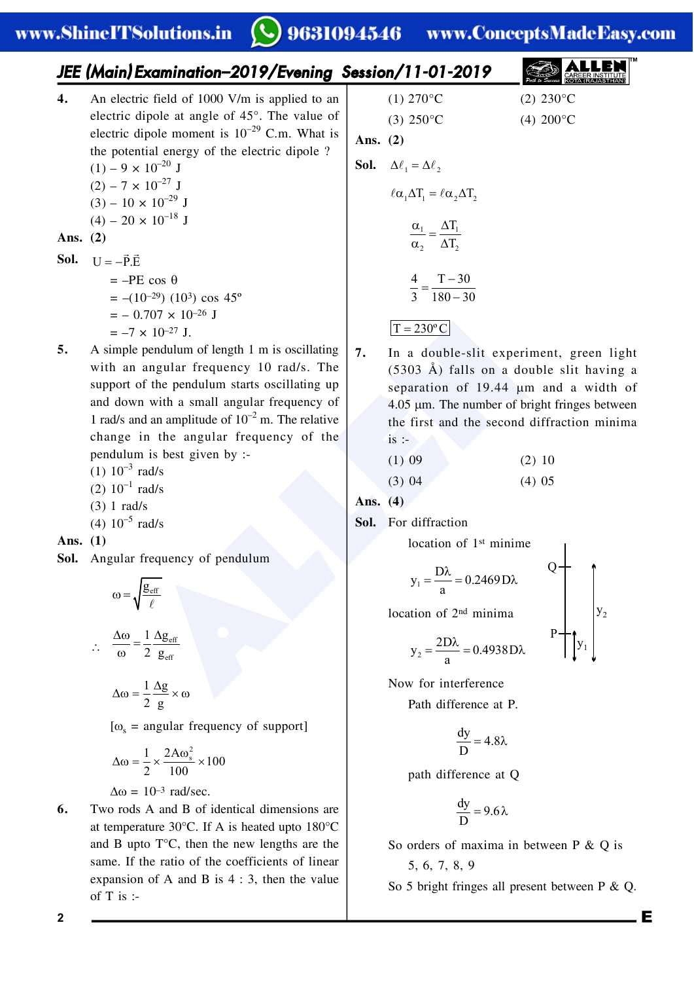#### $\bigcirc$  9631094546 www.ConceptsMadeEasy.com

|                    | JEE (Main) Examination-2019/Evening Session/11-01-2019                                                                                                                                                                                                                                                                                                                                                                                      |                          |                                                                                                                                                                                                                                                                                  |                                                                                                                                                                                                                                                                       |
|--------------------|---------------------------------------------------------------------------------------------------------------------------------------------------------------------------------------------------------------------------------------------------------------------------------------------------------------------------------------------------------------------------------------------------------------------------------------------|--------------------------|----------------------------------------------------------------------------------------------------------------------------------------------------------------------------------------------------------------------------------------------------------------------------------|-----------------------------------------------------------------------------------------------------------------------------------------------------------------------------------------------------------------------------------------------------------------------|
| 4.                 | An electric field of 1000 V/m is applied to an<br>electric dipole at angle of 45°. The value of<br>electric dipole moment is $10^{-29}$ C.m. What is<br>the potential energy of the electric dipole ?<br>$(1) - 9 \times 10^{-20}$ J<br>$(2) - 7 \times 10^{-27}$ J<br>$(3) - 10 \times 10^{-29}$ J<br>$(4) - 20 \times 10^{-18}$ J                                                                                                         | Ans. $(2)$               | $(1) 270$ °C<br>$(3) 250^{\circ}$ C<br><b>Sol.</b> $\Delta \ell_1 = \Delta \ell_2$<br>$\ell \alpha_1 \Delta T_1 = \ell \alpha_2 \Delta T_2$<br>$\frac{\alpha_1}{\cdots} = \frac{\Delta T_1}{\Delta T_2}$                                                                         | $(2) 230^{\circ}$ C<br>$(4) 200^{\circ}C$                                                                                                                                                                                                                             |
| Ans. $(2)$<br>Sol. | $U = -\vec{P} \cdot \vec{E}$<br>$=-PE \cos \theta$<br>$= -(10^{-29}) (10^3) \cos 45^\circ$<br>$=$ $-$ 0.707 $\times$ 10 <sup>-26</sup> J<br>$=-7 \times 10^{-27}$ J.                                                                                                                                                                                                                                                                        |                          | $\alpha_2$ $\Delta T_2$<br>$\frac{4}{3} = \frac{T - 30}{180 - 30}$<br>$T = 230^{\circ}$ C                                                                                                                                                                                        |                                                                                                                                                                                                                                                                       |
| 5.                 | A simple pendulum of length 1 m is oscillating<br>with an angular frequency 10 rad/s. The<br>support of the pendulum starts oscillating up<br>and down with a small angular frequency of<br>1 rad/s and an amplitude of $10^{-2}$ m. The relative<br>change in the angular frequency of the<br>pendulum is best given by :-<br>$(1) 10^{-3}$ rad/s<br>$(2) 10^{-1}$ rad/s<br>$(3)$ 1 rad/s<br>(4) $10^{-5}$ rad/s                           | 7.<br>Ans. $(4)$<br>Sol. | $is$ :<br>$(1)$ 09<br>(3) 04<br>For diffraction                                                                                                                                                                                                                                  | In a double-slit experiment, green light<br>$(5303 \text{ Å})$ falls on a double slit having a<br>separation of 19.44 um and a width of<br>$4.05 \mu m$ . The number of bright fringes between<br>the first and the second diffraction minima<br>$(2)$ 10<br>$(4)$ 05 |
| Ans. $(1)$         | Sol. Angular frequency of pendulum<br>$\omega = \sqrt{\frac{g_{\text{eff}}}{g}}$<br>$\therefore \quad \frac{\Delta \omega}{\omega} = \frac{1}{2} \frac{\Delta g_{\text{eff}}}{g_{\text{eff}}}$<br>$\Delta\omega = \frac{1}{2} \frac{\Delta g}{g} \times \omega$<br>[ $\omega$ <sub>s</sub> = angular frequency of support]<br>$\Delta\omega = \frac{1}{2} \times \frac{2A\omega_s^2}{100} \times 100$<br>$\Delta \omega = 10^{-3}$ rad/sec. |                          | location of 1 <sup>st</sup> minime<br>$y_1 = \frac{D\lambda}{a} = 0.2469 D\lambda$<br>location of 2 <sup>nd</sup> minima<br>$y_2 = \frac{2D\lambda}{a} = 0.4938D\lambda$<br>Now for interference<br>Path difference at P.<br>$\frac{dy}{D} = 4.8\lambda$<br>path difference at Q | $()$ $\dashv$                                                                                                                                                                                                                                                         |
| 6.                 | Two rods A and B of identical dimensions are<br>at temperature 30 $^{\circ}$ C. If A is heated upto 180 $^{\circ}$ C<br>and B upto $T^{\circ}C$ , then the new lengths are the<br>same. If the ratio of the coefficients of linear<br>expansion of A and B is $4:3$ , then the value<br>$\alpha$ f T ic.                                                                                                                                    |                          | $\frac{dy}{D} = 9.6 \lambda$<br>So orders of maxima in between P & Q is<br>5, 6, 7, 8, 9                                                                                                                                                                                         | So 5 bright fringes all present between $P \& Q$ .                                                                                                                                                                                                                    |

- **Sol.**  $U = -\vec{P} \cdot \vec{E}$  $=-PE$  $= -(10^{-10})$  $= -0.7$  $=-7 \times$
- **5.** A simple  $p$ with an a support of and down 1 rad/s and change in pendulum
	- $(1) 10^{-3}$  ra
	- $(2)$  10<sup>-1</sup> ra
	- (3) 1 rad/s
	- (4)  $10^{-5}$  ra

$$
\Delta \omega = \frac{1}{2} \frac{\Delta g}{g} \times \omega
$$

$$
[\omega_s = angular frequency of support]
$$

$$
\Delta\omega = \frac{1}{2} \times \frac{2A\omega_s^2}{100} \times 100
$$

**6.** Two rods  $A$ at temperat and B upto same. If the expansion of T is :-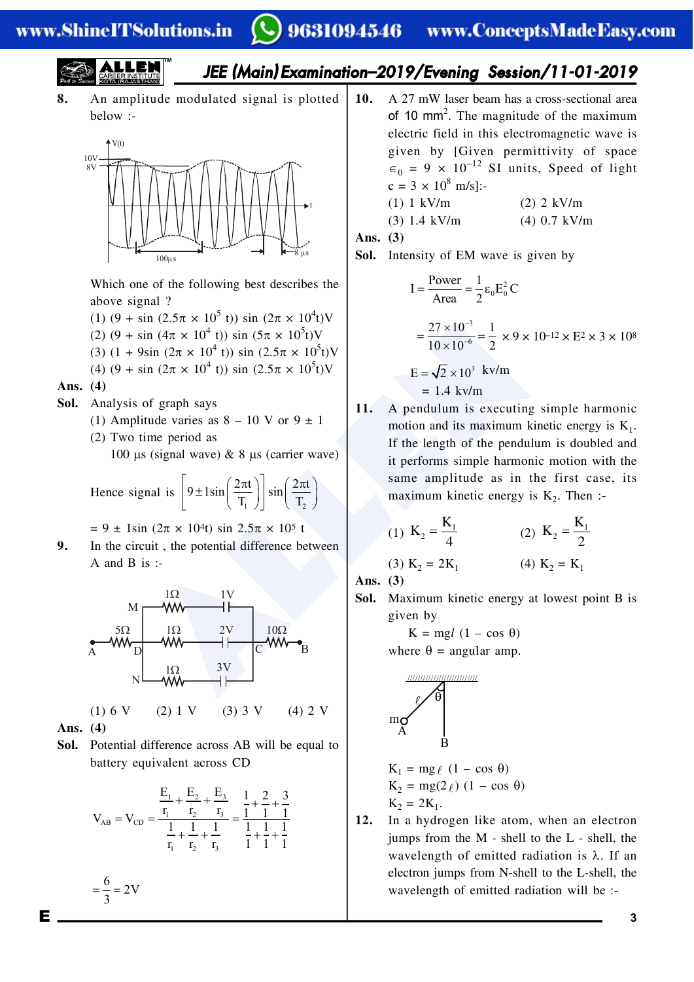# *JEE (Main) Examination–2019/Evening Session/11-01-2019*

**8.** An amplitude modulated signal is plotted below :-



Which one of the following best describes the above signal ?

- (1)  $(9 + \sin (2.5\pi \times 10^5 \text{ t})) \sin (2\pi \times 10^4 \text{ t})\text{V}$
- (2)  $(9 + \sin (4\pi \times 10^4 \text{ t})) \sin (5\pi \times 10^5 \text{t})\text{V}$
- (3)  $(1 + 9\sin (2\pi \times 10^4 \text{ t})) \sin (2.5\pi \times 10^5 \text{t})\text{V}$
- (4)  $(9 + \sin (2\pi \times 10^4 \text{ t})) \sin (2.5\pi \times 10^5 \text{t})\text{V}$

### **Ans. (4)**

- **Sol.** Analysis of graph says
	- (1) Amplitude varies as  $8 10$  V or  $9 \pm 1$
	- (2) Two time period as

100  $\mu$ s (signal wave) & 8  $\mu$ s (carrier wave)

Hence signal is 
$$
\left[9 \pm 1\sin\left(\frac{2\pi t}{T_1}\right)\right] \sin\left(\frac{2\pi t}{T_2}\right)
$$

 $= 9 \pm 1\sin (2\pi \times 10^{4}t) \sin 2.5\pi \times 10^{5} t$ 

**9.** In the circuit , the potential difference between A and B is :-



**Ans. (4)**

 $=\frac{6}{3}=2V$ 

**Sol.** Potential difference across AB will be equal to battery equivalent across CD

$$
V_{AB}=V_{CD}=\dfrac{\dfrac{E_1}{r_1}+\dfrac{E_2}{r_2}+\dfrac{E_3}{r_3}}{\dfrac{1}{r_1}+\dfrac{1}{r_2}+\dfrac{1}{r_3}}=\dfrac{\dfrac{1}{1}+\dfrac{2}{1}+\dfrac{3}{1}}{\dfrac{1}{1}+\dfrac{1}{1}+\dfrac{1}{1}}}
$$

10. A 27 mW laser beam has a cross-sectional area  
of 10 mm<sup>2</sup>. The magnitude of the maximum  
electric field in this electromagnetic wave is  
given by [Given permittivity of space  

$$
\epsilon_0 = 9 \times 10^{-12}
$$
 SI units, Speed of light  
 $c = 3 \times 10^8$  m/s]:-

$$
(1) 1 kV/m \t(2) 2 kV/m
$$

$$
(3) 1.4 \text{ kV/m} \qquad (4) 0.7 \text{ kV/m}
$$

**Ans. (3)**

**Sol.** Intensity of EM wave is given by

$$
I = \frac{Power}{Area} = \frac{1}{2} \varepsilon_0 E_0^2 C
$$
  
=  $\frac{27 \times 10^{-3}}{10 \times 10^{-6}} = \frac{1}{2} \times 9 \times 10^{-12} \times E^2 \times 3 \times 10^8$   
 $E = \sqrt{2} \times 10^3 \text{ kv/m}$   
= 1.4 kv/m

**11.** A pendulum is executing simple harmonic motion and its maximum kinetic energy is  $K_1$ . If the length of the pendulum is doubled and it performs simple harmonic motion with the same amplitude as in the first case, its maximum kinetic energy is  $K_2$ . Then :-

(1) 
$$
K_2 = \frac{K_1}{4}
$$
 (2)  $K_2 = \frac{K_1}{2}$ 

(3) 
$$
K_2 = 2K_1
$$
 (4)  $K_2 = K_1$ 

**Ans. (3)**

**Sol.** Maximum kinetic energy at lowest point B is given by

$$
K = mgl (1 - \cos \theta)
$$
  
where  $\theta$  = angular amp.

$$
\mathsf{max}\left(\begin{array}{c}\mathsf{min}\left(\mathsf{min}\right)\\ \mathsf{max}\left(\mathsf{max}\right)\\ \mathsf{max}\left(\mathsf{max}\right)\\ \mathsf{max}\left(\mathsf{max}\right)\\ \mathsf{max}\left(\mathsf{max}\right)\\ \mathsf{max}\left(\mathsf{max}\right)\\ \mathsf{max}\left(\mathsf{max}\right)\\ \mathsf{max}\left(\mathsf{max}\right)\\ \mathsf{max}\left(\mathsf{max}\right)\\ \mathsf{max}\left(\mathsf{max}\right)\\ \mathsf{max}\left(\mathsf{max}\right)\\ \mathsf{max}\left(\mathsf{max}\right)\\ \mathsf{max}\left(\mathsf{max}\right)\\ \mathsf{max}\left(\mathsf{max}\right)\\ \mathsf{max}\left(\mathsf{max}\right)\\ \mathsf{max}\left(\mathsf{max}\right)\\ \mathsf{max}\left(\mathsf{max}\right)\\ \mathsf{max}\left(\mathsf{max}\right)\\ \mathsf{max}\left(\mathsf{max}\right)\\ \mathsf{max}\left(\mathsf{max}\right)\\ \mathsf{max}\left(\mathsf{max}\right)\\ \mathsf{max}\left(\mathsf{max}\right)\\ \mathsf{max}\left(\mathsf{max}\right)\\ \mathsf{max}\left(\mathsf{max}\right)\\ \mathsf{max}\left(\mathsf{max}\right)\\ \mathsf{max}\left(\mathsf{max}\right)\\ \mathsf{max}\left(\mathsf{max}\right)\\ \mathsf{max}\left(\mathsf{max}\right)\\ \mathsf{max}\left(\mathsf{max}\right)\\ \mathsf{max}\left(\mathsf{max}\right)\\ \mathsf{max}\left(\mathsf{max}\right)\\ \mathsf{max}\left(\mathsf{max}\right)\\ \mathsf{max}\left(\mathsf{max}\right)\\ \mathsf{max}\left(\mathsf{max}\right)\\ \mathsf{max}\left(\mathsf{max}\right)\\ \mathsf{max}\left(\mathsf{max}\right)\\ \mathsf{max}\left(\mathsf{max}\right)\\ \mathsf{max}\left(\mathsf{max}\right)\\ \mathsf{max}\left(\mathsf{max}\right)\\ \mathsf{max}\left(\mathsf{max}\right)\\ \mathsf{max}\left(\mathsf{max}\right)\\ \mathsf{max}\left(\mathsf{max}\right)\\ \mathsf{max}\left(\mathsf{max}\right)\\ \mathsf{max}\left(\mathsf{max}\right)\\ \mathsf{max}\left(\mathsf{max}\right)\\ \mathsf{max}\left(\mathsf{max}\right)\\ \mathsf{max}\left(\mathsf{
$$

 $K_1 = mg \ell (1 - \cos \theta)$  $K_2 = mg(2 \ell) (1 - \cos \theta)$  $K_2 = 2K_1$ .

**12.** In a hydrogen like atom, when an electron jumps from the M - shell to the L - shell, the wavelength of emitted radiation is  $\lambda$ . If an electron jumps from N-shell to the L-shell, the wavelength of emitted radiation will be :-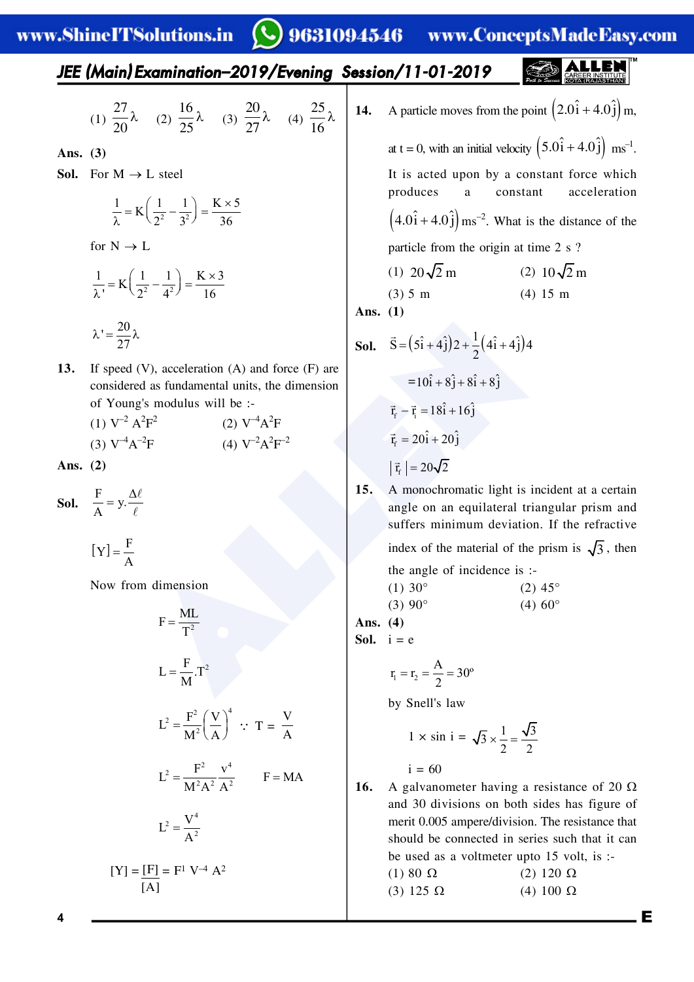*JEE (Main) Examination–2019/Evening Session/11-01-2019*

(1) 
$$
\frac{27}{20}\lambda
$$
 (2)  $\frac{16}{25}\lambda$  (3)  $\frac{20}{27}\lambda$  (4)  $\frac{25}{16}\lambda$ 

**Ans. (3)**

**Sol.** For  $M \rightarrow L$  steel

$$
\frac{1}{\lambda} = K\left(\frac{1}{2^2} - \frac{1}{3^2}\right) = \frac{K \times 5}{36}
$$

for  $N \rightarrow L$ 

27

$$
\frac{1}{\lambda} = K \left( \frac{1}{2^2} - \frac{1}{4^2} \right) = \frac{K \times 3}{16}
$$

$$
\lambda = \frac{20}{25} \lambda
$$

**13.** If speed (V), acceleration (A) and force (F) are considered as fundamental units, the dimension of Young's modulus will be :-

(1) 
$$
V^{-2} A^2 F^2
$$
  
\n(2)  $V^{-4} A^2 F$   
\n(3)  $V^{-4} A^{-2} F$   
\n(4)  $V^{-2} A^2 F^{-2}$ 

**Ans. (2)**

**Sol.**  $\frac{F}{A} = y \cdot \frac{\Delta \ell}{\ell}$ 

$$
[\mathbf{Y}] = \frac{\mathbf{F}}{\mathbf{A}}
$$

Now from dimension

$$
F = \frac{ML}{T^2}
$$
  
\n
$$
L = \frac{F}{M}.T^2
$$
  
\n
$$
L^2 = \frac{F^2}{M^2} \left(\frac{V}{A}\right)^4 \quad \therefore \quad T = \frac{V}{A}
$$
  
\n
$$
L^2 = \frac{F^2}{M^2A^2} \frac{v^4}{A^2} \qquad F = MA
$$
  
\n
$$
L^2 = \frac{V^4}{A^2}
$$
  
\n
$$
[Y] = \frac{[F]}{[A]} = F^1 V^{-4} A^2
$$

(V), acceleration (A) and force (F) are<br>
and as fundamental units, the dimension<br>
g's modulus will be :-<br>  $\vec{r}_r = \vec{r}_r = 18\hat{i} + 16\hat{j}$ <br>  $(\vec{r}_r) = 20\hat{i} + 20\hat{j}$ <br>  $(\vec{r}_r) = 20\hat{i} + 20\hat{j}$ <br>  $(\vec{r}_r) = 20\hat{i} + 20\hat{j}$ <br> **14.** A particle moves from the point  $(2.0\hat{i} + 4.0\hat{j})$  m, at t = 0, with an initial velocity  $(5.0\hat{i} + 4.0\hat{j})$  ms<sup>-1</sup>. It is acted upon by a constant force which produces a constant acceleration  $(4.0\hat{i} + 4.0\hat{j})$  ms<sup>-2</sup>. What is the distance of the particle from the origin at time 2 s ? (1)  $20\sqrt{2}$  m (2)  $10\sqrt{2}$  m (3) 5 m (4) 15 m **Ans. (1) Sol.**  $\vec{S} = (5\hat{i} + 4\hat{j})2 + \frac{1}{2}(4\hat{i} + 4\hat{j})4$  $\overline{a}$  $= 10\hat{i} + 8\hat{j} + 8\hat{i} + 8\hat{j}$  $\vec{r}_f - \vec{r}_f = 18\hat{i} + 16\hat{j}$  $\vec{r}_{f} = 20\hat{i} + 20\hat{j}$  $|\vec{r}_{f}| = 20\sqrt{2}$ 

**15.** A monochromatic light is incident at a certain angle on an equilateral triangular prism and suffers minimum deviation. If the refractive index of the material of the prism is  $\sqrt{3}$ , then

> the angle of incidence is :- (1)  $30^{\circ}$  (2)  $45^{\circ}$ (3)  $90^{\circ}$  (4)  $60^{\circ}$

**Ans. (4)**

Sol.  $i = e$ 

$$
r_1 = r_2 = \frac{A}{2} = 30^{\circ}
$$

by Snell's law

$$
1 \times \sin i = \sqrt{3} \times \frac{1}{2} = \frac{\sqrt{3}}{2}
$$

 $i = 60$ 

**16.** A galvanometer having a resistance of 20  $\Omega$ and 30 divisions on both sides has figure of merit 0.005 ampere/division. The resistance that should be connected in series such that it can be used as a voltmeter upto 15 volt, is :- (1) 80  $\Omega$  (2) 120  $\Omega$ (3) 125  $\Omega$  (4) 100  $\Omega$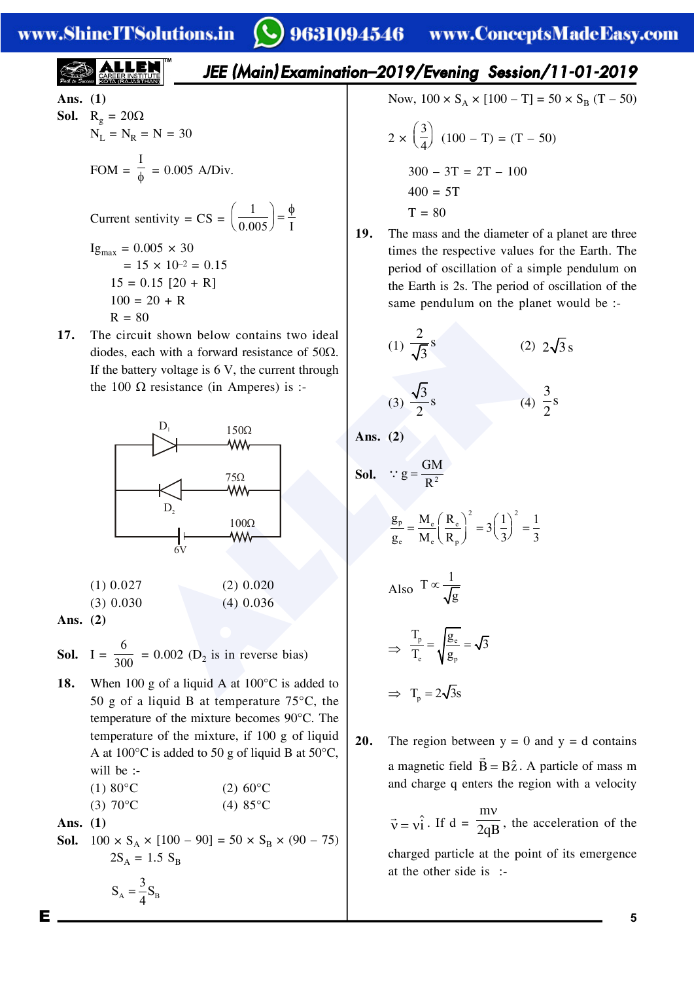**ALLEN** 

# 9631094546 www.ConceptsMadeEasy.com

| ALLEN                                                                                                             | JEE (Main) Examination-2019/Evening Session/11-01-2019                                                                                                                              |
|-------------------------------------------------------------------------------------------------------------------|-------------------------------------------------------------------------------------------------------------------------------------------------------------------------------------|
| Ans. (1)                                                                                                          | Now, $100 \times S_A \times [100 - T] = 50 \times S_B (T - 50)$                                                                                                                     |
| Sol. $R_g = 20\Omega$<br>$N_L = N_R = N = 30$                                                                     | $2 \times \left(\frac{3}{4}\right) (100 - T) = (T - 50)$                                                                                                                            |
| FOM = $\frac{I}{\phi} = 0.005$ A/Div.<br><br>Ig <sub>max</sub> = 0.005 × 30<br><br>= 15 × 10 <sup>-2</sup> = 0.15 |                                                                                                                                                                                     |
| 15 = 0.15 [20 + R]<br>$100 = 20 + R$                                                                              | 19. The mass and the diameter of a planet are three times the respective values for the Earth. The period of oscillation of a simple pendulum on the planet would be :-<br>$R = 80$ |

**17.** The circuit shown below contains two ideal diodes, each with a forward resistance of  $50\Omega$ . If the battery voltage is  $6 \text{ V}$ , the current through the 100  $\Omega$  resistance (in Amperes) is :-



| $(1)$ 0.027 | $(2)$ 0.020 |
|-------------|-------------|
| $(3)$ 0.030 | $(4)$ 0.036 |
| $\sim$      |             |

**Ans. (2)**

**Sol.** I = 6  $\frac{1}{300}$  = 0.002 (D<sub>2</sub> is in reverse bias)

18. When 100 g of a liquid A at 100°C is added to 50 g of a liquid B at temperature  $75^{\circ}$ C, the temperature of the mixture becomes 90°C. The temperature of the mixture, if 100 g of liquid A at  $100^{\circ}$ C is added to 50 g of liquid B at 50 $^{\circ}$ C, will be :-

(1) 
$$
80^{\circ}
$$
C  
(2)  $60^{\circ}$ C  
(3)  $70^{\circ}$ C  
(4)  $85^{\circ}$ C

 $S_A = \frac{3}{4} S_B$ 

**Ans. (1)**

**Sol.**  $100 \times S_A \times [100 - 90] = 50 \times S_B \times (90 - 75)$  $2S_A = 1.5 S_B$ 

Now, 
$$
100 \times S_A \times [100 - T] = 50 \times S_B (T - 50)
$$

$$
2 \times \left(\frac{3}{4}\right) (100 - T) = (T - 50)
$$
  
300 - 3T = 2T - 100  
400 = 5T  
T = 80

**19.** The mass and the diameter of a planet are three times the respective values for the Earth. The period of oscillation of a simple pendulum on the Earth is 2s. The period of oscillation of the same pendulum on the planet would be :-

(1) 
$$
\frac{2}{\sqrt{3}}s
$$
  
\n(2)  $2\sqrt{3}s$   
\n(3)  $\frac{\sqrt{3}}{2}s$   
\n(4)  $\frac{3}{2}s$ 

**Ans. (2)**

 **Sol.** <sup>2</sup> GM <sup>g</sup> <sup>R</sup> 2 2 p e e e e p <sup>g</sup> M R 1 1 <sup>3</sup> g M R 3 3 Also <sup>1</sup> <sup>T</sup> g 

$$
\Rightarrow \frac{T_p}{T_e} = \sqrt{\frac{g_e}{g_p}} = \sqrt{3}
$$

 $\Rightarrow$  T<sub>n</sub> =  $2\sqrt{3s}$ 

**20.** The region between  $y = 0$  and  $y = d$  contains a magnetic field  $B =$  $\rightarrow$  $\vec{B} = B\hat{z}$ . A particle of mass m and charge q enters the region with a velocity

> $\vec{v} = v_1 \hat{i}$ . If  $d =$ m  $\overline{2qB}$ , the acceleration of the

charged particle at the point of its emergence at the other side is :-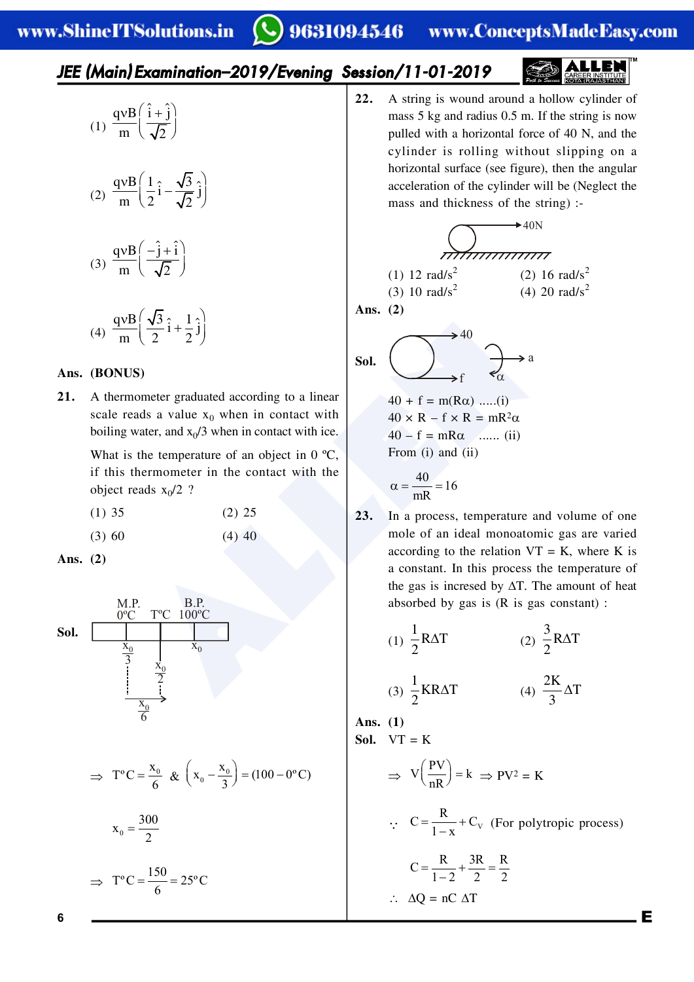#### 9631094546 www.ConceptsMadeEasy.com

## *JEE (Main) Examination–2019/Evening Session/11-01-2019*



(1)  $vB(\hat{i}+\hat{j})$  $\left(\overline{\sqrt{2}}\right)$  $qvB(\hat{i}+\hat{j})$ m  $\sqrt{2}$ 

$$
(2) \frac{qvB}{m} \left(\frac{1}{2}\hat{i} - \frac{\sqrt{3}}{\sqrt{2}}\hat{j}\right)
$$

$$
(3) \frac{qvB}{m} \left(\frac{-\hat{j}+\hat{i}}{\sqrt{2}}\right)
$$

$$
(4) \frac{qvB}{m} \left(\frac{\sqrt{3}}{2}\hat{i} + \frac{1}{2}\hat{j}\right)
$$

### **Ans. (BONUS)**

**21.** A thermometer graduated according to a linear scale reads a value  $x_0$  when in contact with boiling water, and  $x_0/3$  when in contact with ice.

> What is the temperature of an object in 0 °C, if this thermometer in the contact with the object reads  $x_0/2$  ?

- $(1)$  35  $(2)$  25
- $(3) 60$   $(4) 40$

**Ans. (2)**



$$
\Rightarrow T^{\circ}C = \frac{x_0}{6} \& \left(x_0 - \frac{x_0}{3}\right) = (100 - 0^{\circ}C)
$$

$$
\mathbf{x}_0 = \frac{300}{2}
$$

$$
\Rightarrow T^{\circ}C = \frac{150}{6} = 25^{\circ}C
$$

**22.** A string is wound around a hollow cylinder of mass 5 kg and radius 0.5 m. If the string is now pulled with a horizontal force of 40 N, and the cylinder is rolling without slipping on a horizontal surface (see figure), then the angular acceleration of the cylinder will be (Neglect the mass and thickness of the string) :-

40N (1) 12 rad/s<sup>2</sup> (2) 16 rad/s<sup>2</sup> (3) 10 rad/s<sup>2</sup> (4) 20 rad/s<sup>2</sup>

**Ans. (2)**

Sol.

$$
\text{Sol.} \quad \overbrace{\bigcup}_{f} \xrightarrow{40} \quad \overbrace{\alpha} \xrightarrow{a}
$$

 $40 + f = m(R\alpha)$  .....(i)  $40 \times R - f \times R = mR^2\alpha$  $40 - f = mR\alpha$  ....... (ii) From (i) and (ii)

$$
\alpha = \frac{40}{mR} = 16
$$

**23.** In a process, temperature and volume of one mole of an ideal monoatomic gas are varied according to the relation  $VT = K$ , where K is a constant. In this process the temperature of the gas is incresed by  $\Delta T$ . The amount of heat absorbed by gas is (R is gas constant) :

(1) 
$$
\frac{1}{2}
$$
 RAT  
\n(2)  $\frac{3}{2}$  RAT  
\n(3)  $\frac{1}{2}$  KRAT  
\n(4)  $\frac{2K}{3}\Delta T$   
\n**Ans.** (1)  
\n**Sol.** VT = K  
\n $\Rightarrow V\left(\frac{PV}{nR}\right) = k \Rightarrow PV^2 = K$ 

$$
\therefore C = \frac{R}{1 - x} + C_v \text{ (For polytropic process)}
$$
  

$$
C = \frac{R}{1 - 2} + \frac{3R}{2} = \frac{R}{2}
$$
  

$$
\therefore \Delta Q = nC \Delta T
$$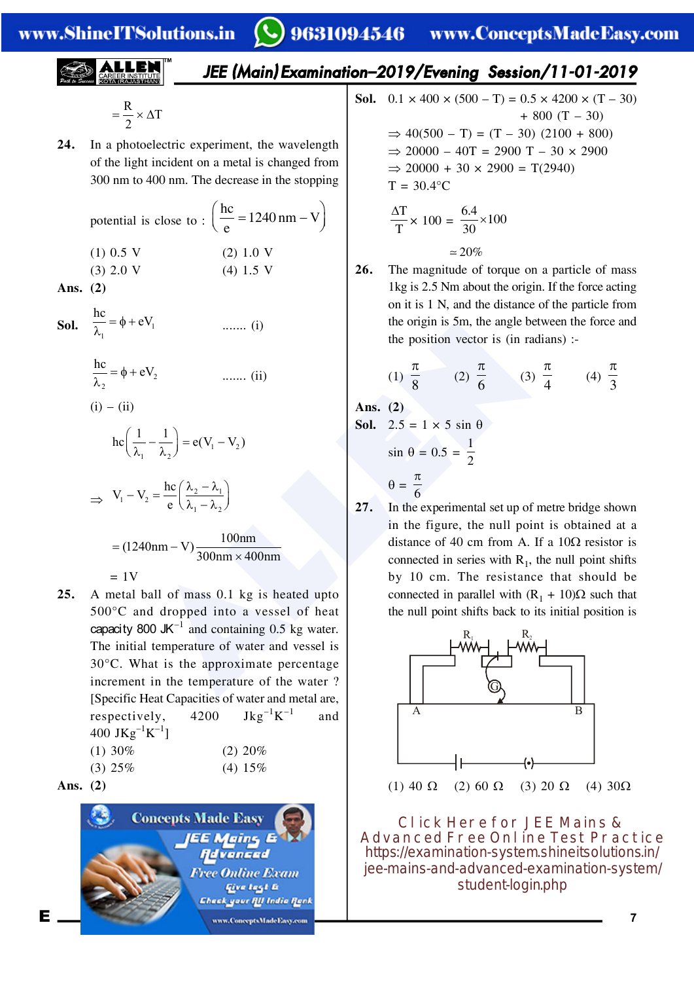*JEE (Main) Examination–2019/Evening Session/11-01-2019*

$$
= \frac{R}{2} \times \Delta T
$$

**24.** In a photoelectric experiment, the wavelength of the light incident on a metal is changed from 300 nm to 400 nm. The decrease in the stopping

potential is close to : 
$$
\left(\frac{hc}{e} = 1240 \text{ nm} - V\right)
$$
  
(1) 0.5 V (2) 1.0 V  
(3) 2.0 V (4) 1.5 V

**Ans. (2)**

**Sol.**  $\overline{\lambda_1} = \varphi + eV_1$  $\frac{hc}{\hat{}}$  =  $\phi$  + eV  $\overline{\lambda}_1 = \phi + eV_1$  ....... (i)

$$
\frac{hc}{\lambda_2} = \phi + eV_2 \qquad \qquad \dots \dots \text{ (ii)}
$$

$$
(i) - (ii)
$$

$$
hc\left(\frac{1}{\lambda_1} - \frac{1}{\lambda_2}\right) = e(V_1 - V_2)
$$

$$
\Rightarrow V_1 - V_2 = \frac{hc}{e} \left( \frac{\lambda_2 - \lambda_1}{\lambda_1 - \lambda_2} \right)
$$

$$
= (1240nm - V) \frac{100nm}{300nm \times 400nm}
$$

eV<sub>1</sub> (i) the origin is 5m, the angle b<br>
the position vector is (in rx<br>  $\mathbf{e}V_2$  (1)  $\frac{\pi}{8}$  (2)  $\frac{\pi}{6}$  (3)<br>  $\frac{1}{\pi} - \frac{1}{\lambda_2}$  = e(V<sub>1</sub> - V<sub>2</sub>)<br>  $\mathbf{e} = \frac{\mathbf{h} \mathbf{c}}{\mathbf{c}} \left( \frac{\lambda_2 - \lambda_1}{\lambda_1 - \lambda_2} \right)$ <br>  $\mathbf{$  $= 1V$ **25.** A metal ball of mass 0.1 kg is heated upto 500°C and dropped into a vessel of heat capacity 800 JK $^{-1}$  and containing 0.5 kg water. The initial temperature of water and vessel is 30°C. What is the approximate percentage increment in the temperature of the water ? [Specific Heat Capacities of water and metal are, respectively,  $4200 \text{ Jkg}^{-1}\text{K}^{-1}$  and 400 JKg<sup>-1</sup>K<sup>-1</sup>]  $(1)$  30%  $(2)$  20%

| $(1)$ JV $\sim$ | $(2)$ 20 $\omega$ |
|-----------------|-------------------|
| $(3)$ 25%       | $(4) 15\%$        |

Ans. 
$$
(2)
$$



**Sol.**  $0.1 \times 400 \times (500 - T) = 0.5 \times 4200 \times (T - 30)$  $+800$  (T  $-30$ )  $\Rightarrow$  40(500 – T) = (T – 30) (2100 + 800)  $\Rightarrow$  20000 – 40T = 2900 T – 30  $\times$  2900  $\Rightarrow$  20000 + 30 × 2900 = T(2940)  $T = 30.4$ °C

$$
\frac{\Delta T}{T} \times 100 = \frac{6.4}{30} \times 100
$$

$$
\simeq 20\%
$$

**26.** The magnitude of torque on a particle of mass 1kg is 2.5 Nm about the origin. If the force acting on it is 1 N, and the distance of the particle from the origin is 5m, the angle between the force and the position vector is (in radians) :-

(1) 
$$
\frac{\pi}{8}
$$
 (2)  $\frac{\pi}{6}$  (3)  $\frac{\pi}{4}$  (4)  $\frac{\pi}{3}$ 

**Ans. (2)**

**Sol.** 2.5 = 1 × 5 sin 
$$
\theta
$$
  
\nsin  $\theta$  = 0.5 =  $\frac{1}{2}$   
\n $\theta$  =  $\frac{\pi}{6}$ 

**27.** In the experimental set up of metre bridge shown in the figure, the null point is obtained at a distance of 40 cm from A. If a  $10\Omega$  resistor is connected in series with  $R_1$ , the null point shifts by 10 cm. The resistance that should be connected in parallel with  $(R_1 + 10)\Omega$  such that the null point shifts back to its initial position is



**Click Here for JEE Mains & Advanced Free Online Test Practice** https://examination-system.shineitsolutions.in/ [jee-mains-and-advanced-examination-system/](https://examination-system.shineitsolutions.in/jee-mains-and-advanced-examination-system/student-login.php) student-login.php